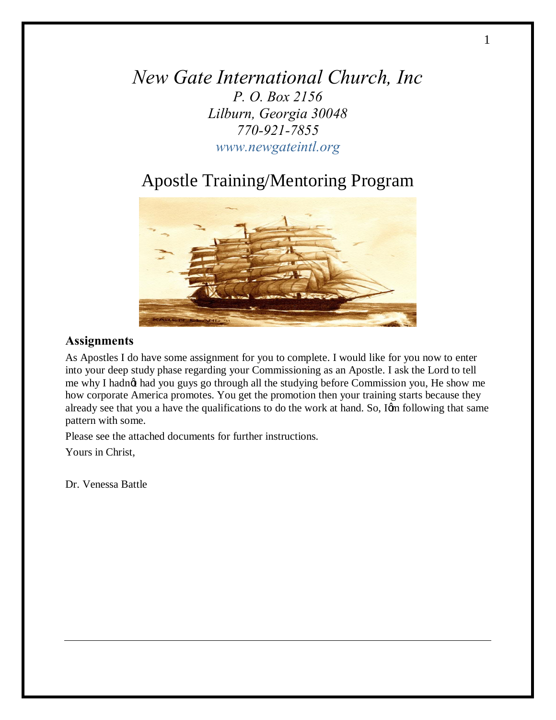*New Gate International Church, Inc P. O. Box 2156 Lilburn, Georgia 30048 770-921-7855 www.newgateintl.org*

# Apostle Training/Mentoring Program



# **Assignments**

As Apostles I do have some assignment for you to complete. I would like for you now to enter into your deep study phase regarding your Commissioning as an Apostle. I ask the Lord to tell me why I hadnot had you guys go through all the studying before Commission you, He show me how corporate America promotes. You get the promotion then your training starts because they already see that you a have the qualifications to do the work at hand. So, Ign following that same pattern with some.

Please see the attached documents for further instructions.

Yours in Christ,

Dr. Venessa Battle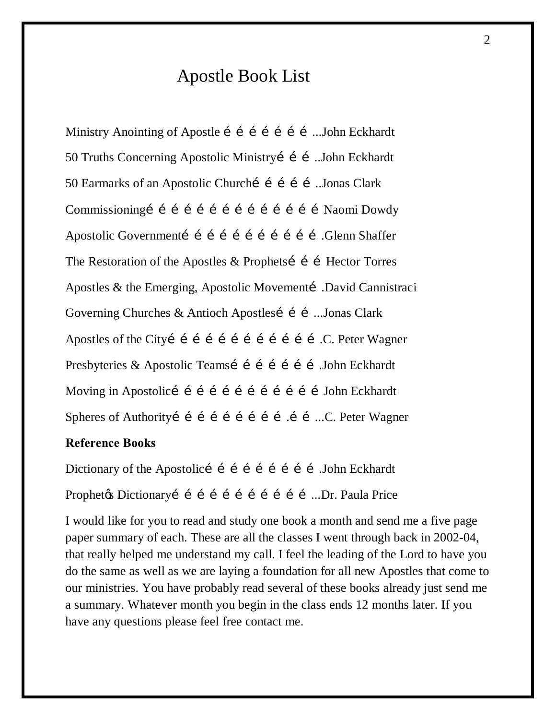# Apostle Book List

Ministry Anointing of Apostle i i i i i i i ...John Eckhardt 50 Truths Concerning Apostolic Ministryí í í ...John Eckhardt 50 Earmarks of an Apostolic Churchí í í í í ...Jonas Clark Commissioningí í í í í í í í í í í í í í í í Naomi Dowdy Apostolic Governmentí í í í í í í í í í í í í Slenn Shaffer The Restoration of the Apostles  $&$  Prophetsi i i Hector Torres Apostles & the Emerging, Apostolic Movementí .David Cannistraci Governing Churches & Antioch Apostlesí í í ...Jonas Clark Apostles of the Cityi i i i i i i i i i i i i.C. Peter Wagner Presbyteries & Apostolic Teamsí í í í í í í John Eckhardt Moving in Apostolicí í í í í í í í í í í í í bohn Eckhardt Spheres of Authorityí í í í í í í í í í í...C. Peter Wagner

# **Reference Books**

Dictionary of the Apostolicí í í í í í í í í John Eckhardt Prophety's Dictionary i i i i i i i i i i i i ...Dr. Paula Price

I would like for you to read and study one book a month and send me a five page paper summary of each. These are all the classes I went through back in 2002-04, that really helped me understand my call. I feel the leading of the Lord to have you do the same as well as we are laying a foundation for all new Apostles that come to our ministries. You have probably read several of these books already just send me a summary. Whatever month you begin in the class ends 12 months later. If you have any questions please feel free contact me.